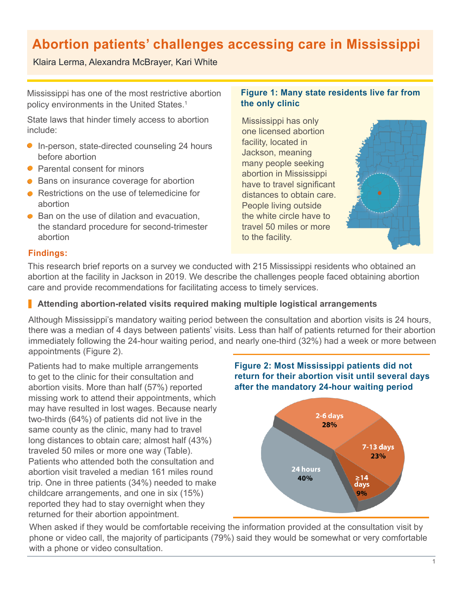# **Abortion patients' challenges accessing care in Mississippi**

# Klaira Lerma, Alexandra McBrayer, Kari White

Mississippi has one of the most restrictive abortion policy environments in the United States.<sup>1</sup>

State laws that hinder timely access to abortion include:

- In-person, state-directed counseling 24 hours before abortion
- Parental consent for minors
- Bans on insurance coverage for abortion
- Restrictions on the use of telemedicine for abortion
- Ban on the use of dilation and evacuation, the standard procedure for second-trimester abortion

## **Figure 1: Many state residents live far from the only clinic**

Mississippi has only one licensed abortion facility, located in Jackson, meaning many people seeking abortion in Mississippi have to travel significant distances to obtain care. People living outside the white circle have to travel 50 miles or more to the facility.



# **Findings:**

This research brief reports on a survey we conducted with 215 Mississippi residents who obtained an abortion at the facility in Jackson in 2019. We describe the challenges people faced obtaining abortion care and provide recommendations for facilitating access to timely services.

# **Attending abortion-related visits required making multiple logistical arrangements**

Although Mississippi's mandatory waiting period between the consultation and abortion visits is 24 hours, there was a median of 4 days between patients' visits. Less than half of patients returned for their abortion immediately following the 24-hour waiting period, and nearly one-third (32%) had a week or more between appointments (Figure 2).

Patients had to make multiple arrangements to get to the clinic for their consultation and abortion visits. More than half (57%) reported missing work to attend their appointments, which may have resulted in lost wages. Because nearly two-thirds (64%) of patients did not live in the same county as the clinic, many had to travel long distances to obtain care; almost half (43%) traveled 50 miles or more one way (Table). Patients who attended both the consultation and abortion visit traveled a median 161 miles round trip. One in three patients (34%) needed to make childcare arrangements, and one in six (15%) reported they had to stay overnight when they returned for their abortion appointment.





When asked if they would be comfortable receiving the information provided at the consultation visit by phone or video call, the majority of participants (79%) said they would be somewhat or very comfortable with a phone or video consultation.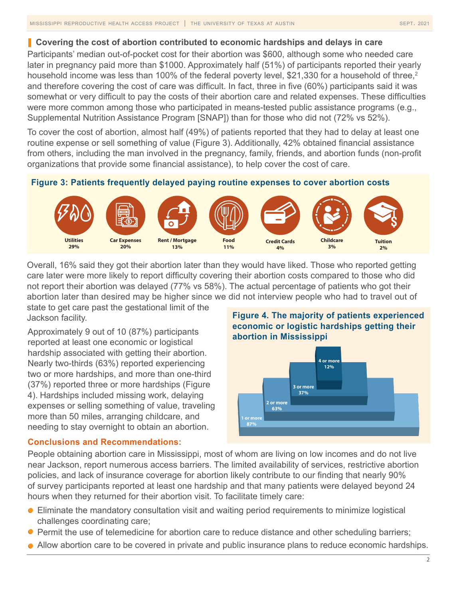### **Covering the cost of abortion contributed to economic hardships and delays in care**

Participants' median out-of-pocket cost for their abortion was \$600, although some who needed care later in pregnancy paid more than \$1000. Approximately half (51%) of participants reported their yearly household income was less than 100% of the federal poverty level, \$21,330 for a household of three,<sup>2</sup> and therefore covering the cost of care was difficult. In fact, three in five (60%) participants said it was somewhat or very difficult to pay the costs of their abortion care and related expenses. These difficulties were more common among those who participated in means-tested public assistance programs (e.g., Supplemental Nutrition Assistance Program [SNAP]) than for those who did not (72% vs 52%).

To cover the cost of abortion, almost half (49%) of patients reported that they had to delay at least one routine expense or sell something of value (Figure 3). Additionally, 42% obtained financial assistance from others, including the man involved in the pregnancy, family, friends, and abortion funds (non-profit organizations that provide some financial assistance), to help cover the cost of care.

## **Figure 3: Patients frequently delayed paying routine expenses to cover abortion costs**



Overall, 16% said they got their abortion later than they would have liked. Those who reported getting care later were more likely to report difficulty covering their abortion costs compared to those who did not report their abortion was delayed (77% vs 58%). The actual percentage of patients who got their abortion later than desired may be higher since we did not interview people who had to travel out of state to get care past the gestational limit of the

Jackson facility.

Approximately 9 out of 10 (87%) participants reported at least one economic or logistical hardship associated with getting their abortion. Nearly two-thirds (63%) reported experiencing two or more hardships, and more than one-third (37%) reported three or more hardships (Figure 4). Hardships included missing work, delaying expenses or selling something of value, traveling more than 50 miles, arranging childcare, and needing to stay overnight to obtain an abortion.

# **Figure 4. The majority of patients experienced economic or logistic hardships getting their abortion in Mississippi**



## **Conclusions and Recommendations:**

People obtaining abortion care in Mississippi, most of whom are living on low incomes and do not live near Jackson, report numerous access barriers. The limited availability of services, restrictive abortion policies, and lack of insurance coverage for abortion likely contribute to our finding that nearly 90% of survey participants reported at least one hardship and that many patients were delayed beyond 24 hours when they returned for their abortion visit. To facilitate timely care:

- Eliminate the mandatory consultation visit and waiting period requirements to minimize logistical challenges coordinating care;
- **Permit the use of telemedicine for abortion care to reduce distance and other scheduling barriers;**
- Allow abortion care to be covered in private and public insurance plans to reduce economic hardships.